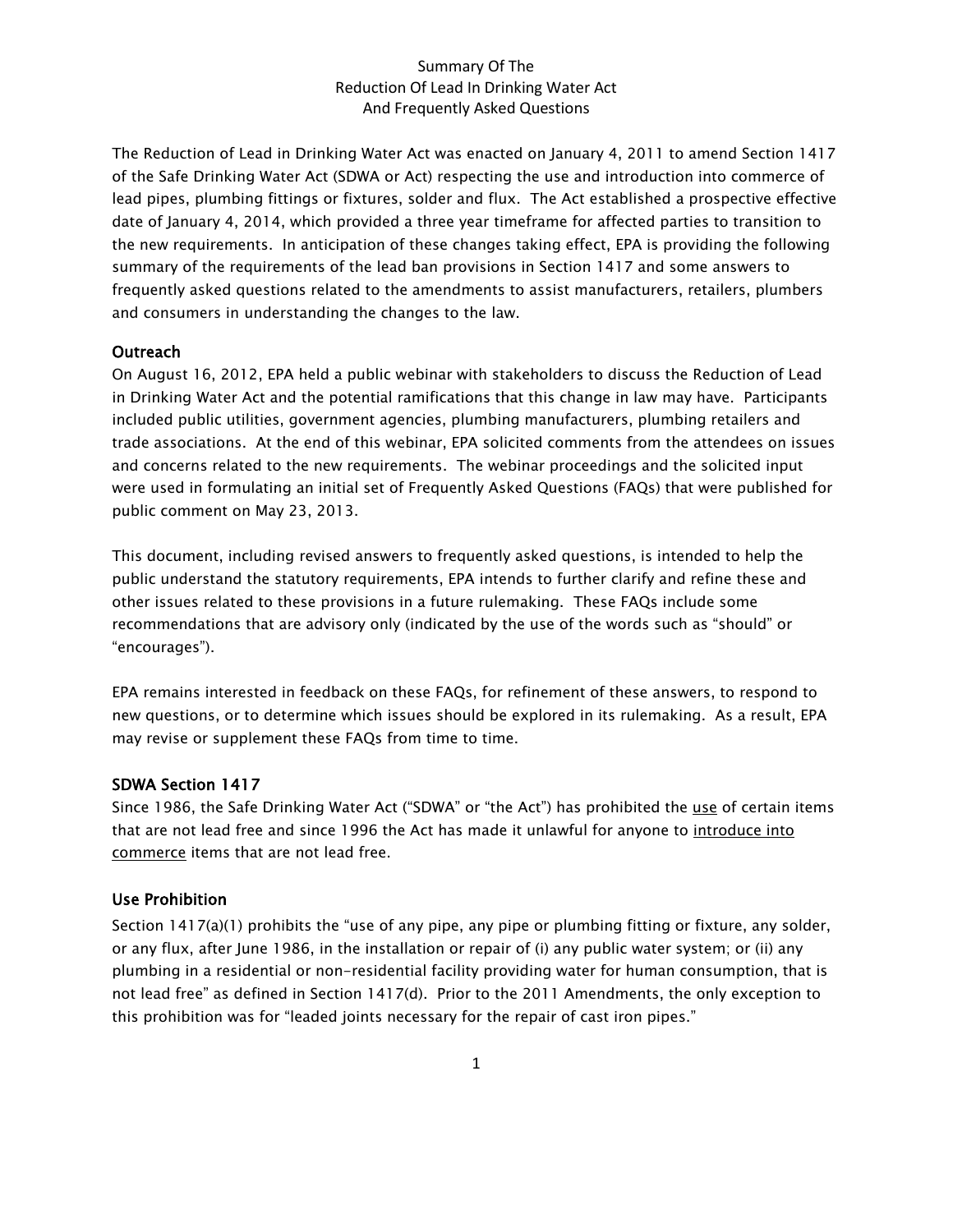The Reduction of Lead in Drinking Water Act was enacted on January 4, 2011 to amend Section 1417 of the Safe Drinking Water Act (SDWA or Act) respecting the use and introduction into commerce of lead pipes, plumbing fittings or fixtures, solder and flux. The Act established a prospective effective date of January 4, 2014, which provided a three year timeframe for affected parties to transition to the new requirements. In anticipation of these changes taking effect, EPA is providing the following summary of the requirements of the lead ban provisions in Section 1417 and some answers to frequently asked questions related to the amendments to assist manufacturers, retailers, plumbers and consumers in understanding the changes to the law.

#### **Outreach**

On August 16, 2012, EPA held a public webinar with stakeholders to discuss the Reduction of Lead in Drinking Water Act and the potential ramifications that this change in law may have. Participants included public utilities, government agencies, plumbing manufacturers, plumbing retailers and trade associations. At the end of this webinar, EPA solicited comments from the attendees on issues and concerns related to the new requirements. The webinar proceedings and the solicited input were used in formulating an initial set of Frequently Asked Questions (FAQs) that were published for public comment on May 23, 2013.

This document, including revised answers to frequently asked questions, is intended to help the public understand the statutory requirements, EPA intends to further clarify and refine these and other issues related to these provisions in a future rulemaking. These FAQs include some recommendations that are advisory only (indicated by the use of the words such as "should" or "encourages").

EPA remains interested in feedback on these FAQs, for refinement of these answers, to respond to new questions, or to determine which issues should be explored in its rulemaking. As a result, EPA may revise or supplement these FAQs from time to time.

#### SDWA Section 1417

Since 1986, the Safe Drinking Water Act ("SDWA" or "the Act") has prohibited the use of certain items that are not lead free and since 1996 the Act has made it unlawful for anyone to introduce into commerce items that are not lead free.

#### Use Prohibition

Section 1417(a)(1) prohibits the "use of any pipe, any pipe or plumbing fitting or fixture, any solder, or any flux, after June 1986, in the installation or repair of (i) any public water system; or (ii) any plumbing in a residential or non-residential facility providing water for human consumption, that is not lead free" as defined in Section 1417(d). Prior to the 2011 Amendments, the only exception to this prohibition was for "leaded joints necessary for the repair of cast iron pipes."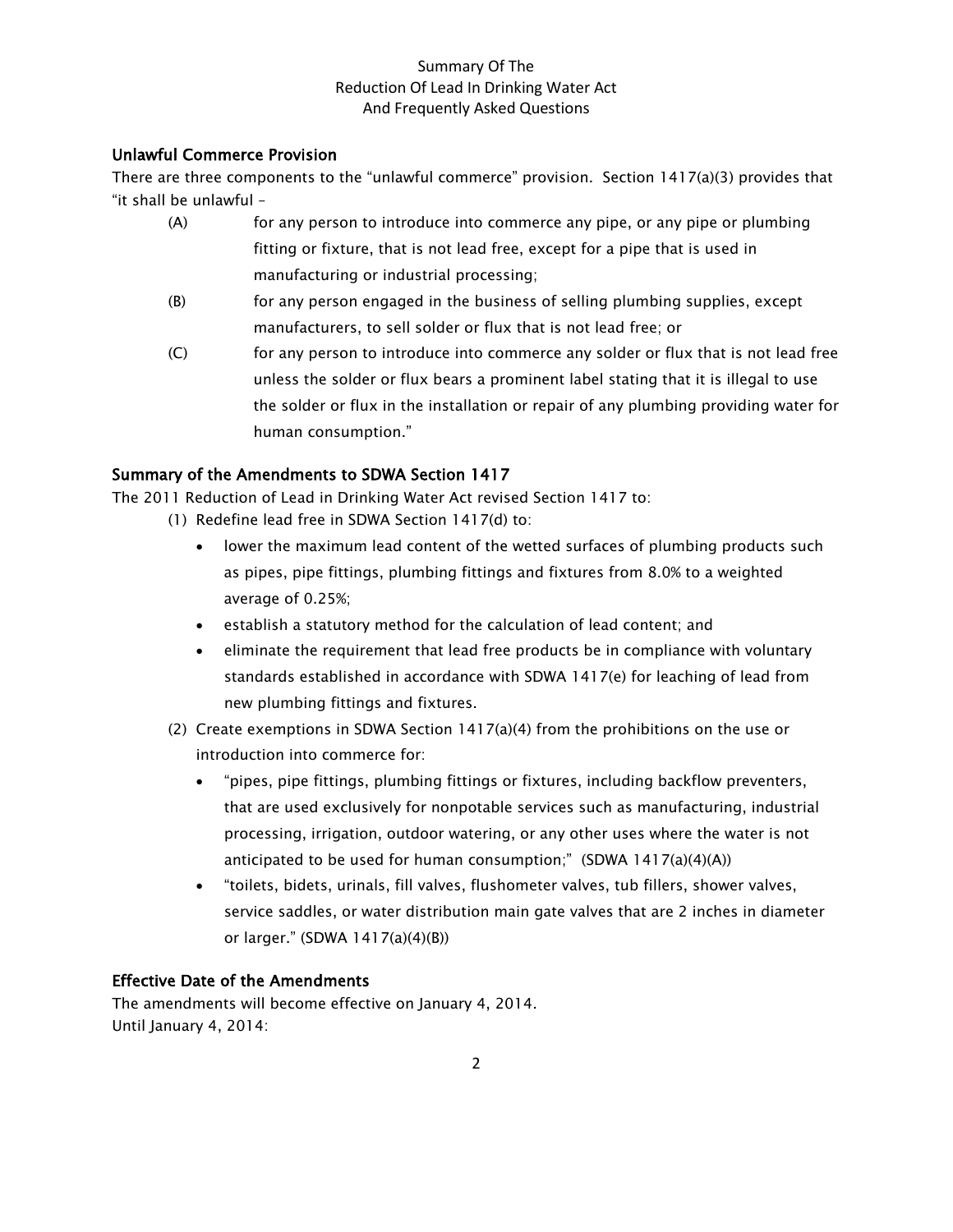# Unlawful Commerce Provision

There are three components to the "unlawful commerce" provision. Section 1417(a)(3) provides that "it shall be unlawful –

- (A) for any person to introduce into commerce any pipe, or any pipe or plumbing fitting or fixture, that is not lead free, except for a pipe that is used in manufacturing or industrial processing;
- (B) for any person engaged in the business of selling plumbing supplies, except manufacturers, to sell solder or flux that is not lead free; or
- (C) for any person to introduce into commerce any solder or flux that is not lead free unless the solder or flux bears a prominent label stating that it is illegal to use the solder or flux in the installation or repair of any plumbing providing water for human consumption."

# Summary of the Amendments to SDWA Section 1417

The 2011 Reduction of Lead in Drinking Water Act revised Section 1417 to:

- (1) Redefine lead free in SDWA Section 1417(d) to:
	- lower the maximum lead content of the wetted surfaces of plumbing products such as pipes, pipe fittings, plumbing fittings and fixtures from 8.0% to a weighted average of 0.25%;
	- establish a statutory method for the calculation of lead content; and
	- eliminate the requirement that lead free products be in compliance with voluntary standards established in accordance with SDWA 1417(e) for leaching of lead from new plumbing fittings and fixtures.
- (2) Create exemptions in SDWA Section 1417(a)(4) from the prohibitions on the use or introduction into commerce for:
	- "pipes, pipe fittings, plumbing fittings or fixtures, including backflow preventers, that are used exclusively for nonpotable services such as manufacturing, industrial processing, irrigation, outdoor watering, or any other uses where the water is not anticipated to be used for human consumption;" (SDWA  $1417(a)(4)(A)$ )
	- "toilets, bidets, urinals, fill valves, flushometer valves, tub fillers, shower valves, service saddles, or water distribution main gate valves that are 2 inches in diameter or larger." (SDWA 1417(a)(4)(B))

## Effective Date of the Amendments

The amendments will become effective on January 4, 2014. Until January 4, 2014: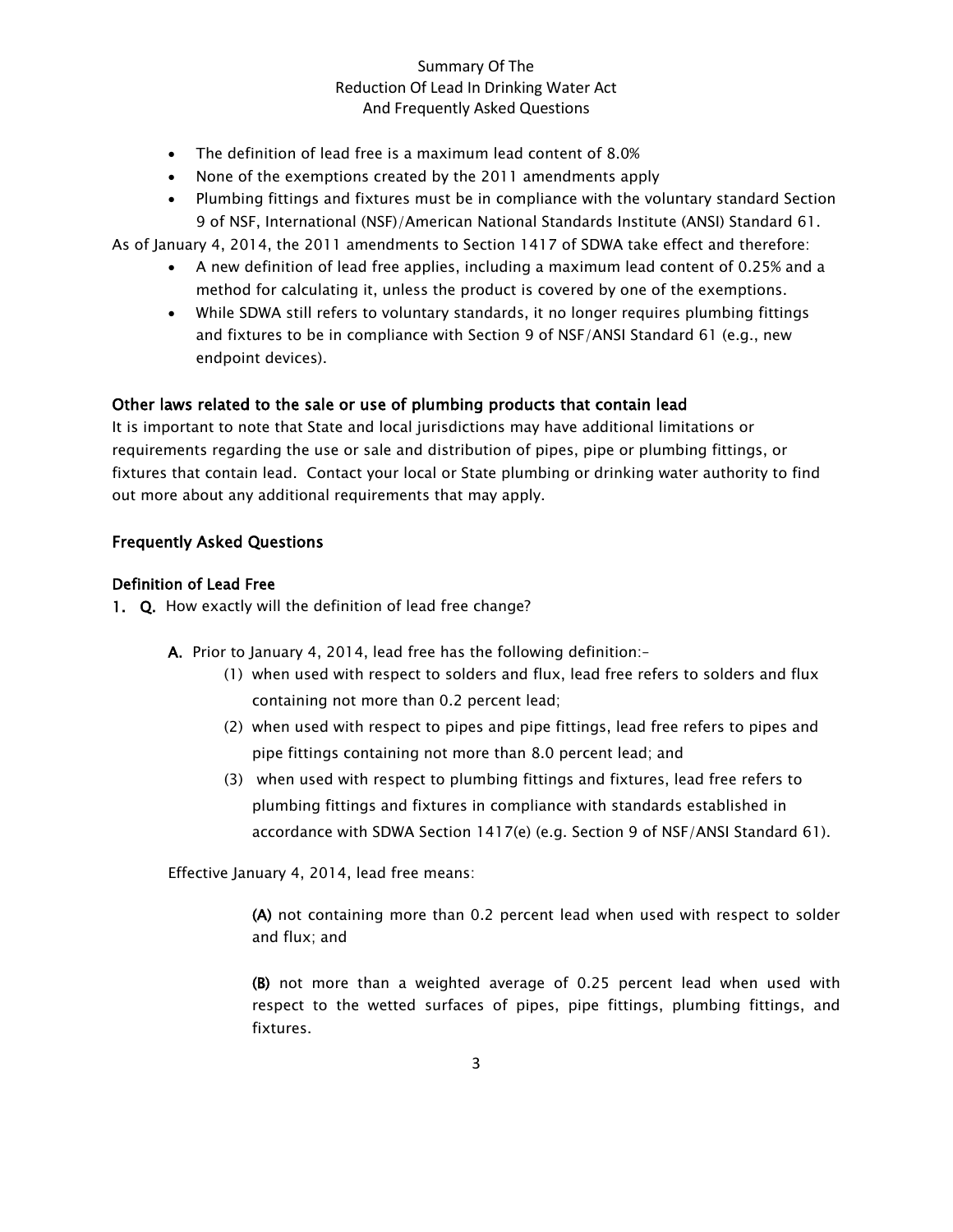- The definition of lead free is a maximum lead content of 8.0%
- None of the exemptions created by the 2011 amendments apply
- Plumbing fittings and fixtures must be in compliance with the voluntary standard Section 9 of NSF, International (NSF)/American National Standards Institute (ANSI) Standard 61.

As of January 4, 2014, the 2011 amendments to Section 1417 of SDWA take effect and therefore:

- A new definition of lead free applies, including a maximum lead content of 0.25% and a method for calculating it, unless the product is covered by one of the exemptions.
- While SDWA still refers to voluntary standards, it no longer requires plumbing fittings and fixtures to be in compliance with Section 9 of NSF/ANSI Standard 61 (e.g., new endpoint devices).

#### Other laws related to the sale or use of plumbing products that contain lead

It is important to note that State and local jurisdictions may have additional limitations or requirements regarding the use or sale and distribution of pipes, pipe or plumbing fittings, or fixtures that contain lead. Contact your local or State plumbing or drinking water authority to find out more about any additional requirements that may apply.

#### Frequently Asked Questions

#### Definition of Lead Free

- 1. Q. How exactly will the definition of lead free change?
	- A. Prior to January 4, 2014, lead free has the following definition:–
		- (1) when used with respect to solders and flux, lead free refers to solders and flux containing not more than 0.2 percent lead;
		- (2) when used with respect to pipes and pipe fittings, lead free refers to pipes and pipe fittings containing not more than 8.0 percent lead; and
		- (3) when used with respect to plumbing fittings and fixtures, lead free refers to plumbing fittings and fixtures in compliance with standards established in accordance with SDWA Section 1417(e) (e.g. Section 9 of NSF/ANSI Standard 61).

Effective January 4, 2014, lead free means:

(A) not containing more than 0.2 percent lead when used with respect to solder and flux; and

(B) not more than a weighted average of 0.25 percent lead when used with respect to the wetted surfaces of pipes, pipe fittings, plumbing fittings, and fixtures.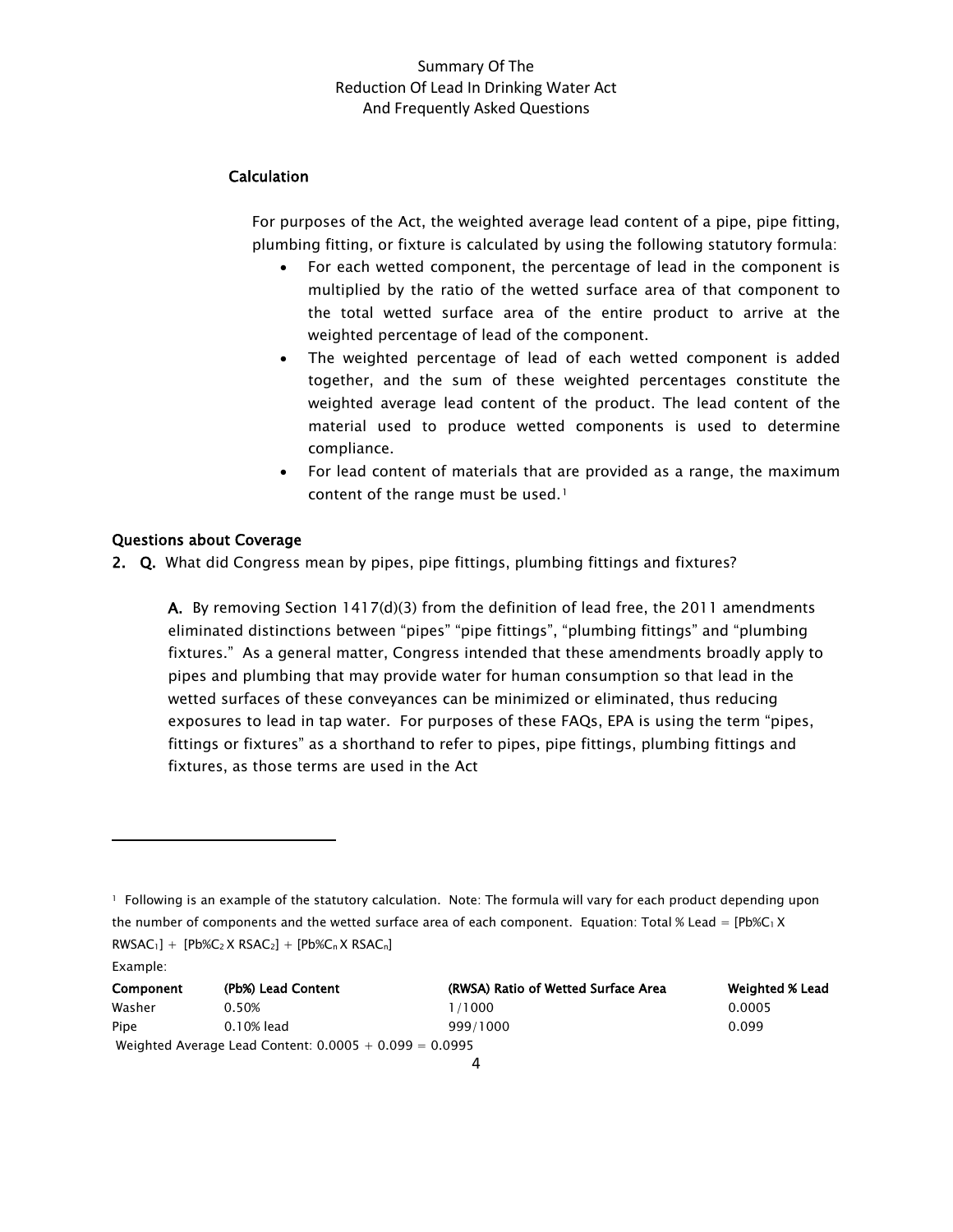# Calculation

For purposes of the Act, the weighted average lead content of a pipe, pipe fitting, plumbing fitting, or fixture is calculated by using the following statutory formula:

- For each wetted component, the percentage of lead in the component is multiplied by the ratio of the wetted surface area of that component to the total wetted surface area of the entire product to arrive at the weighted percentage of lead of the component.
- The weighted percentage of lead of each wetted component is added together, and the sum of these weighted percentages constitute the weighted average lead content of the product. The lead content of the material used to produce wetted components is used to determine compliance.
- For lead content of materials that are provided as a range, the maximum content of the range must be used.<sup>[1](#page-3-0)</sup>

## Questions about Coverage

 $\overline{\phantom{0}}$ 

2. Q. What did Congress mean by pipes, pipe fittings, plumbing fittings and fixtures?

A. By removing Section  $1417(d)(3)$  from the definition of lead free, the 2011 amendments eliminated distinctions between "pipes" "pipe fittings", "plumbing fittings" and "plumbing fixtures." As a general matter, Congress intended that these amendments broadly apply to pipes and plumbing that may provide water for human consumption so that lead in the wetted surfaces of these conveyances can be minimized or eliminated, thus reducing exposures to lead in tap water. For purposes of these FAQs, EPA is using the term "pipes, fittings or fixtures" as a shorthand to refer to pipes, pipe fittings, plumbing fittings and fixtures, as those terms are used in the Act

<span id="page-3-0"></span><sup>1</sup> Following is an example of the statutory calculation. Note: The formula will vary for each product depending upon the number of components and the wetted surface area of each component. Equation: Total % Lead =  $[Pb\&C_1 X]$  $RWSAC<sub>1</sub>] + [Pb\%C<sub>2</sub> X RSAC<sub>2</sub>] + [Pb\%C<sub>n</sub> X RSAC<sub>n</sub>]$ Example:

| Component                                                | (Pb%) Lead Content | (RWSA) Ratio of Wetted Surface Area | <b>Weighted % Lead</b> |
|----------------------------------------------------------|--------------------|-------------------------------------|------------------------|
| Washer                                                   | 0.50%              | 1/1000                              | 0.0005                 |
| Pipe                                                     | 0.10% lead         | 999/1000                            | 0.099                  |
| Weighted Average Lead Content: $0.0005 + 0.099 = 0.0995$ |                    |                                     |                        |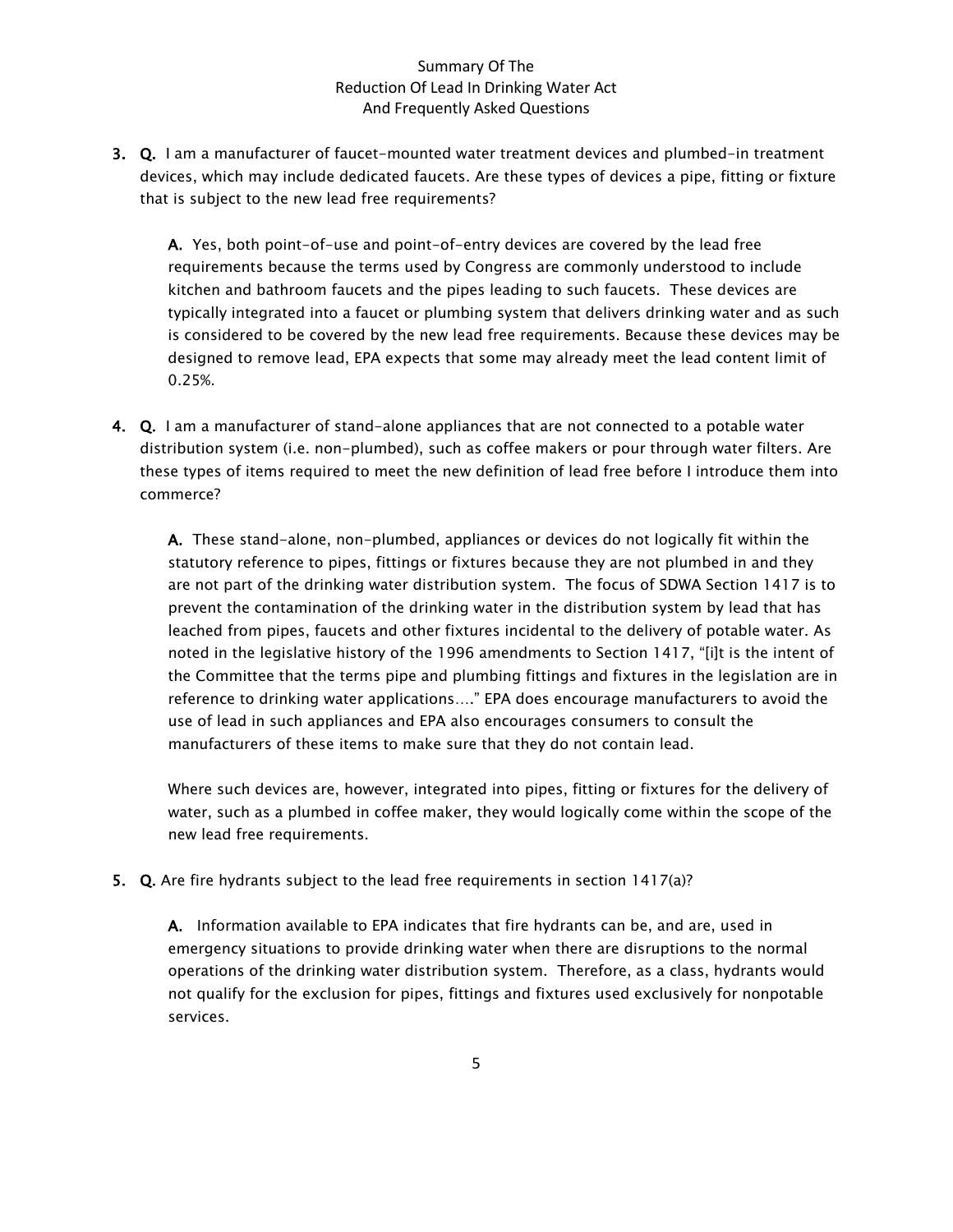3. Q. I am a manufacturer of faucet-mounted water treatment devices and plumbed-in treatment devices, which may include dedicated faucets. Are these types of devices a pipe, fitting or fixture that is subject to the new lead free requirements?

A. Yes, both point-of-use and point-of-entry devices are covered by the lead free requirements because the terms used by Congress are commonly understood to include kitchen and bathroom faucets and the pipes leading to such faucets. These devices are typically integrated into a faucet or plumbing system that delivers drinking water and as such is considered to be covered by the new lead free requirements. Because these devices may be designed to remove lead, EPA expects that some may already meet the lead content limit of 0.25%.

4. Q. I am a manufacturer of stand-alone appliances that are not connected to a potable water distribution system (i.e. non-plumbed), such as coffee makers or pour through water filters. Are these types of items required to meet the new definition of lead free before I introduce them into commerce?

A. These stand-alone, non-plumbed, appliances or devices do not logically fit within the statutory reference to pipes, fittings or fixtures because they are not plumbed in and they are not part of the drinking water distribution system. The focus of SDWA Section 1417 is to prevent the contamination of the drinking water in the distribution system by lead that has leached from pipes, faucets and other fixtures incidental to the delivery of potable water. As noted in the legislative history of the 1996 amendments to Section 1417, "[i]t is the intent of the Committee that the terms pipe and plumbing fittings and fixtures in the legislation are in reference to drinking water applications…." EPA does encourage manufacturers to avoid the use of lead in such appliances and EPA also encourages consumers to consult the manufacturers of these items to make sure that they do not contain lead.

Where such devices are, however, integrated into pipes, fitting or fixtures for the delivery of water, such as a plumbed in coffee maker, they would logically come within the scope of the new lead free requirements.

5. Q. Are fire hydrants subject to the lead free requirements in section 1417(a)?

A. Information available to EPA indicates that fire hydrants can be, and are, used in emergency situations to provide drinking water when there are disruptions to the normal operations of the drinking water distribution system. Therefore, as a class, hydrants would not qualify for the exclusion for pipes, fittings and fixtures used exclusively for nonpotable services.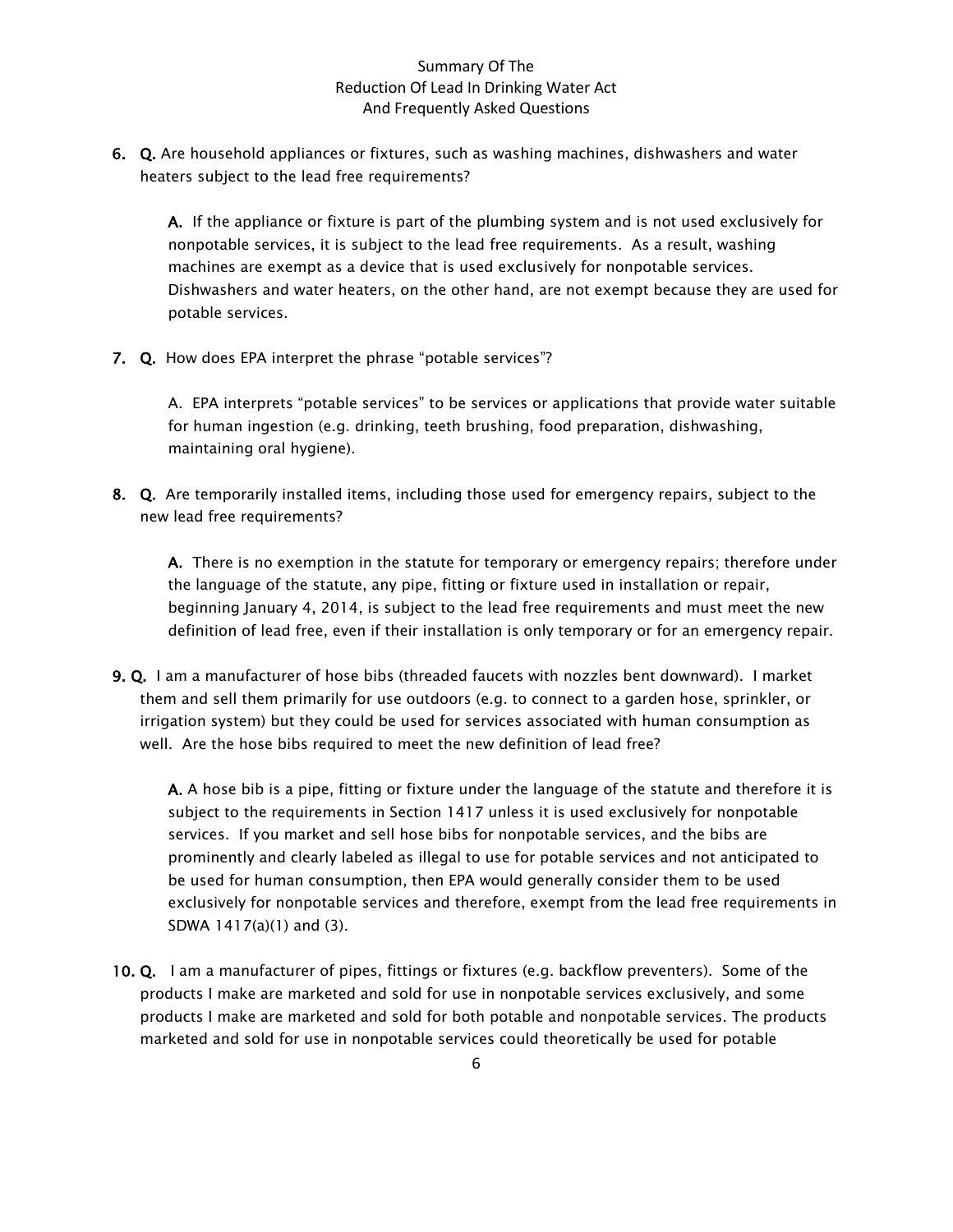6. Q. Are household appliances or fixtures, such as washing machines, dishwashers and water heaters subject to the lead free requirements?

A. If the appliance or fixture is part of the plumbing system and is not used exclusively for nonpotable services, it is subject to the lead free requirements. As a result, washing machines are exempt as a device that is used exclusively for nonpotable services. Dishwashers and water heaters, on the other hand, are not exempt because they are used for potable services.

7. Q. How does EPA interpret the phrase "potable services"?

A. EPA interprets "potable services" to be services or applications that provide water suitable for human ingestion (e.g. drinking, teeth brushing, food preparation, dishwashing, maintaining oral hygiene).

8. Q. Are temporarily installed items, including those used for emergency repairs, subject to the new lead free requirements?

A. There is no exemption in the statute for temporary or emergency repairs; therefore under the language of the statute, any pipe, fitting or fixture used in installation or repair, beginning January 4, 2014, is subject to the lead free requirements and must meet the new definition of lead free, even if their installation is only temporary or for an emergency repair.

9. Q. I am a manufacturer of hose bibs (threaded faucets with nozzles bent downward). I market them and sell them primarily for use outdoors (e.g. to connect to a garden hose, sprinkler, or irrigation system) but they could be used for services associated with human consumption as well. Are the hose bibs required to meet the new definition of lead free?

A. A hose bib is a pipe, fitting or fixture under the language of the statute and therefore it is subject to the requirements in Section 1417 unless it is used exclusively for nonpotable services. If you market and sell hose bibs for nonpotable services, and the bibs are prominently and clearly labeled as illegal to use for potable services and not anticipated to be used for human consumption, then EPA would generally consider them to be used exclusively for nonpotable services and therefore, exempt from the lead free requirements in SDWA 1417(a)(1) and (3).

10. Q. I am a manufacturer of pipes, fittings or fixtures (e.g. backflow preventers). Some of the products I make are marketed and sold for use in nonpotable services exclusively, and some products I make are marketed and sold for both potable and nonpotable services. The products marketed and sold for use in nonpotable services could theoretically be used for potable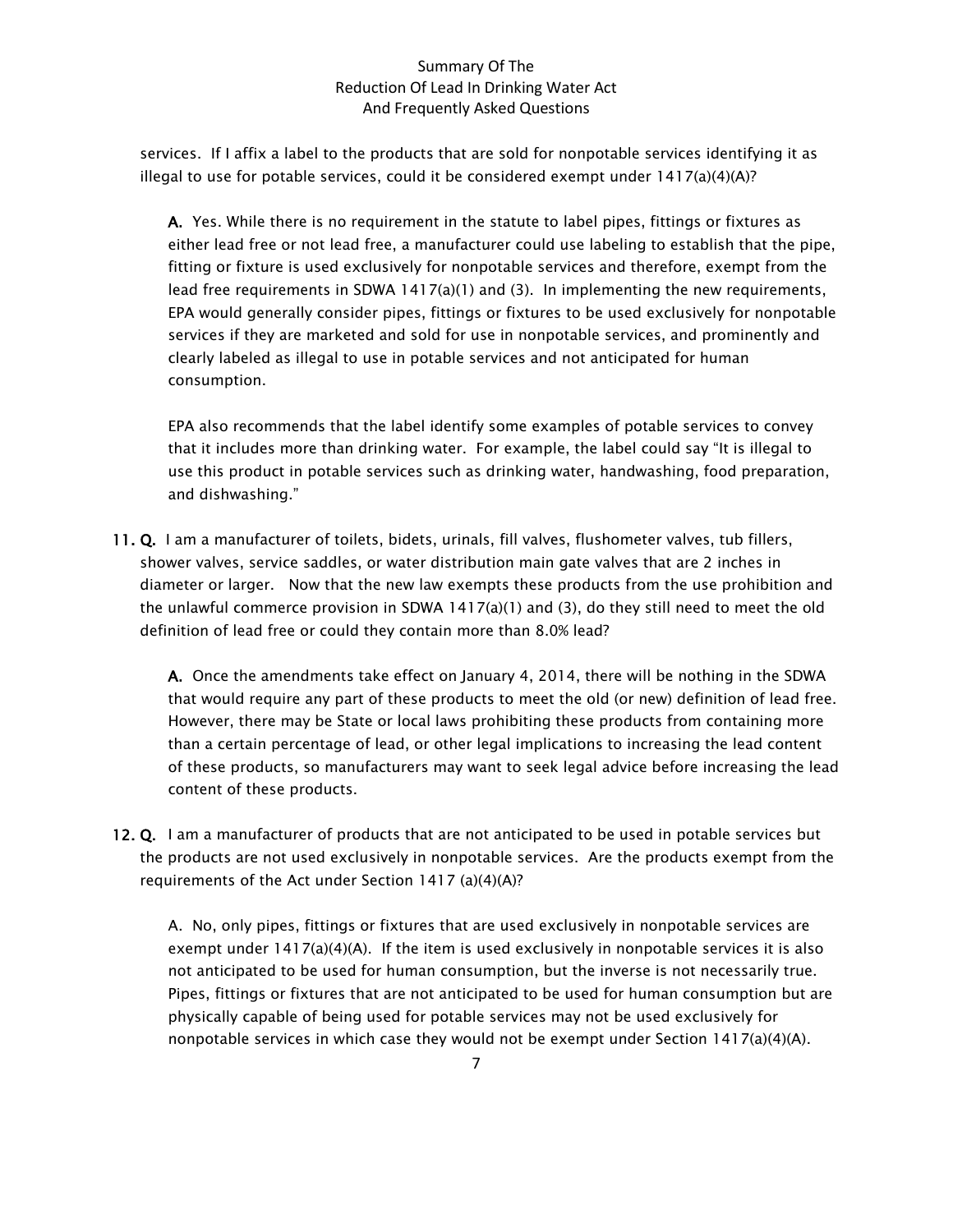services. If I affix a label to the products that are sold for nonpotable services identifying it as illegal to use for potable services, could it be considered exempt under  $1417(a)(4)(A)?$ 

A. Yes. While there is no requirement in the statute to label pipes, fittings or fixtures as either lead free or not lead free, a manufacturer could use labeling to establish that the pipe, fitting or fixture is used exclusively for nonpotable services and therefore, exempt from the lead free requirements in SDWA 1417(a)(1) and (3). In implementing the new requirements, EPA would generally consider pipes, fittings or fixtures to be used exclusively for nonpotable services if they are marketed and sold for use in nonpotable services, and prominently and clearly labeled as illegal to use in potable services and not anticipated for human consumption.

EPA also recommends that the label identify some examples of potable services to convey that it includes more than drinking water. For example, the label could say "It is illegal to use this product in potable services such as drinking water, handwashing, food preparation, and dishwashing."

11. Q. I am a manufacturer of toilets, bidets, urinals, fill valves, flushometer valves, tub fillers, shower valves, service saddles, or water distribution main gate valves that are 2 inches in diameter or larger. Now that the new law exempts these products from the use prohibition and the unlawful commerce provision in SDWA  $1417(a)(1)$  and (3), do they still need to meet the old definition of lead free or could they contain more than 8.0% lead?

A. Once the amendments take effect on January 4, 2014, there will be nothing in the SDWA that would require any part of these products to meet the old (or new) definition of lead free. However, there may be State or local laws prohibiting these products from containing more than a certain percentage of lead, or other legal implications to increasing the lead content of these products, so manufacturers may want to seek legal advice before increasing the lead content of these products.

12. Q. I am a manufacturer of products that are not anticipated to be used in potable services but the products are not used exclusively in nonpotable services. Are the products exempt from the requirements of the Act under Section 1417 (a)(4)(A)?

A. No, only pipes, fittings or fixtures that are used exclusively in nonpotable services are exempt under  $1417(a)(4)(A)$ . If the item is used exclusively in nonpotable services it is also not anticipated to be used for human consumption, but the inverse is not necessarily true. Pipes, fittings or fixtures that are not anticipated to be used for human consumption but are physically capable of being used for potable services may not be used exclusively for nonpotable services in which case they would not be exempt under Section  $1417(a)(4)(A)$ .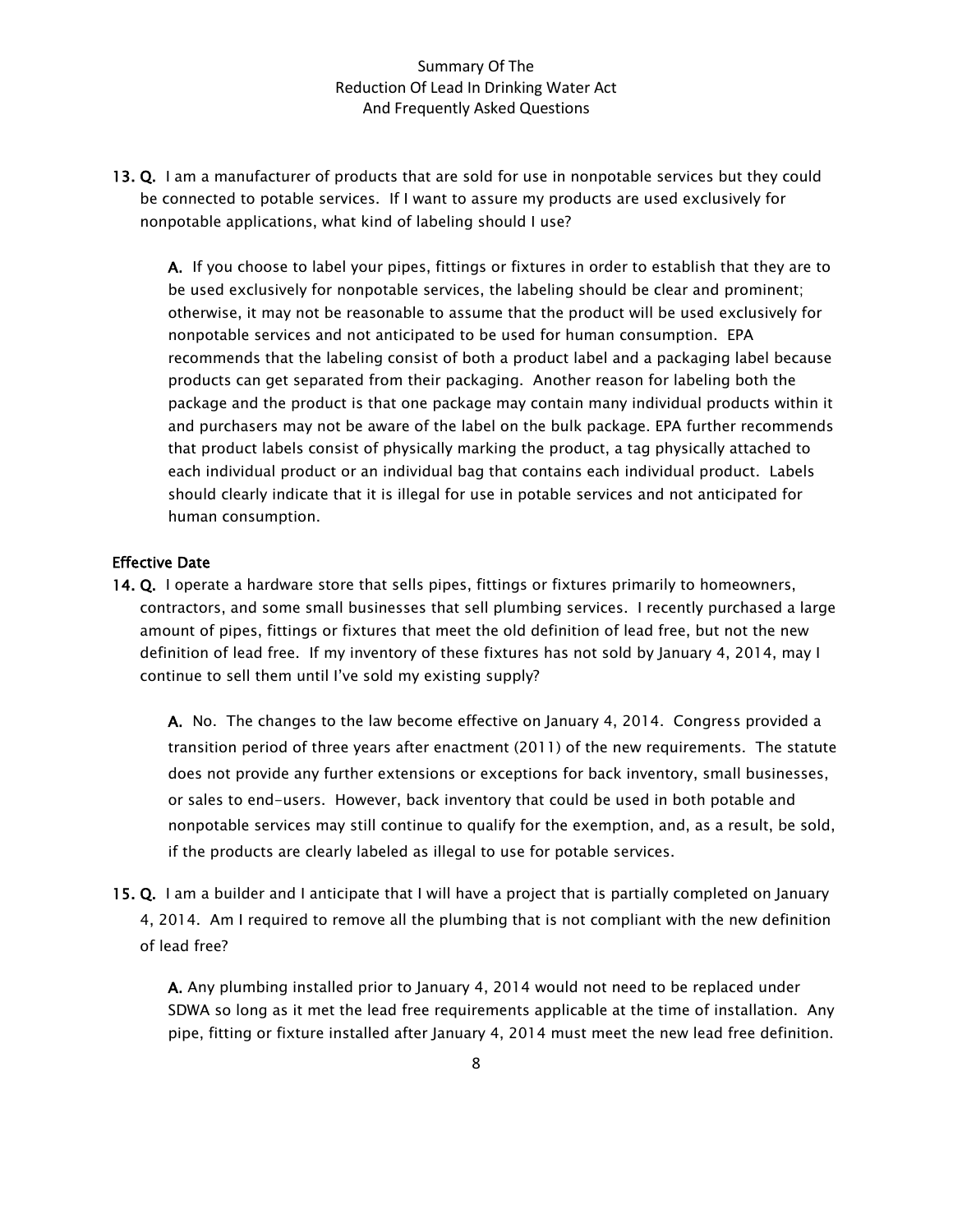13. Q. I am a manufacturer of products that are sold for use in nonpotable services but they could be connected to potable services. If I want to assure my products are used exclusively for nonpotable applications, what kind of labeling should I use?

A. If you choose to label your pipes, fittings or fixtures in order to establish that they are to be used exclusively for nonpotable services, the labeling should be clear and prominent; otherwise, it may not be reasonable to assume that the product will be used exclusively for nonpotable services and not anticipated to be used for human consumption. EPA recommends that the labeling consist of both a product label and a packaging label because products can get separated from their packaging. Another reason for labeling both the package and the product is that one package may contain many individual products within it and purchasers may not be aware of the label on the bulk package. EPA further recommends that product labels consist of physically marking the product, a tag physically attached to each individual product or an individual bag that contains each individual product. Labels should clearly indicate that it is illegal for use in potable services and not anticipated for human consumption.

#### Effective Date

14. Q. I operate a hardware store that sells pipes, fittings or fixtures primarily to homeowners, contractors, and some small businesses that sell plumbing services. I recently purchased a large amount of pipes, fittings or fixtures that meet the old definition of lead free, but not the new definition of lead free. If my inventory of these fixtures has not sold by January 4, 2014, may I continue to sell them until I've sold my existing supply?

A. No. The changes to the law become effective on January 4, 2014. Congress provided a transition period of three years after enactment (2011) of the new requirements. The statute does not provide any further extensions or exceptions for back inventory, small businesses, or sales to end-users. However, back inventory that could be used in both potable and nonpotable services may still continue to qualify for the exemption, and, as a result, be sold, if the products are clearly labeled as illegal to use for potable services.

15. Q. I am a builder and I anticipate that I will have a project that is partially completed on January 4, 2014. Am I required to remove all the plumbing that is not compliant with the new definition of lead free?

A. Any plumbing installed prior to January 4, 2014 would not need to be replaced under SDWA so long as it met the lead free requirements applicable at the time of installation. Any pipe, fitting or fixture installed after January 4, 2014 must meet the new lead free definition.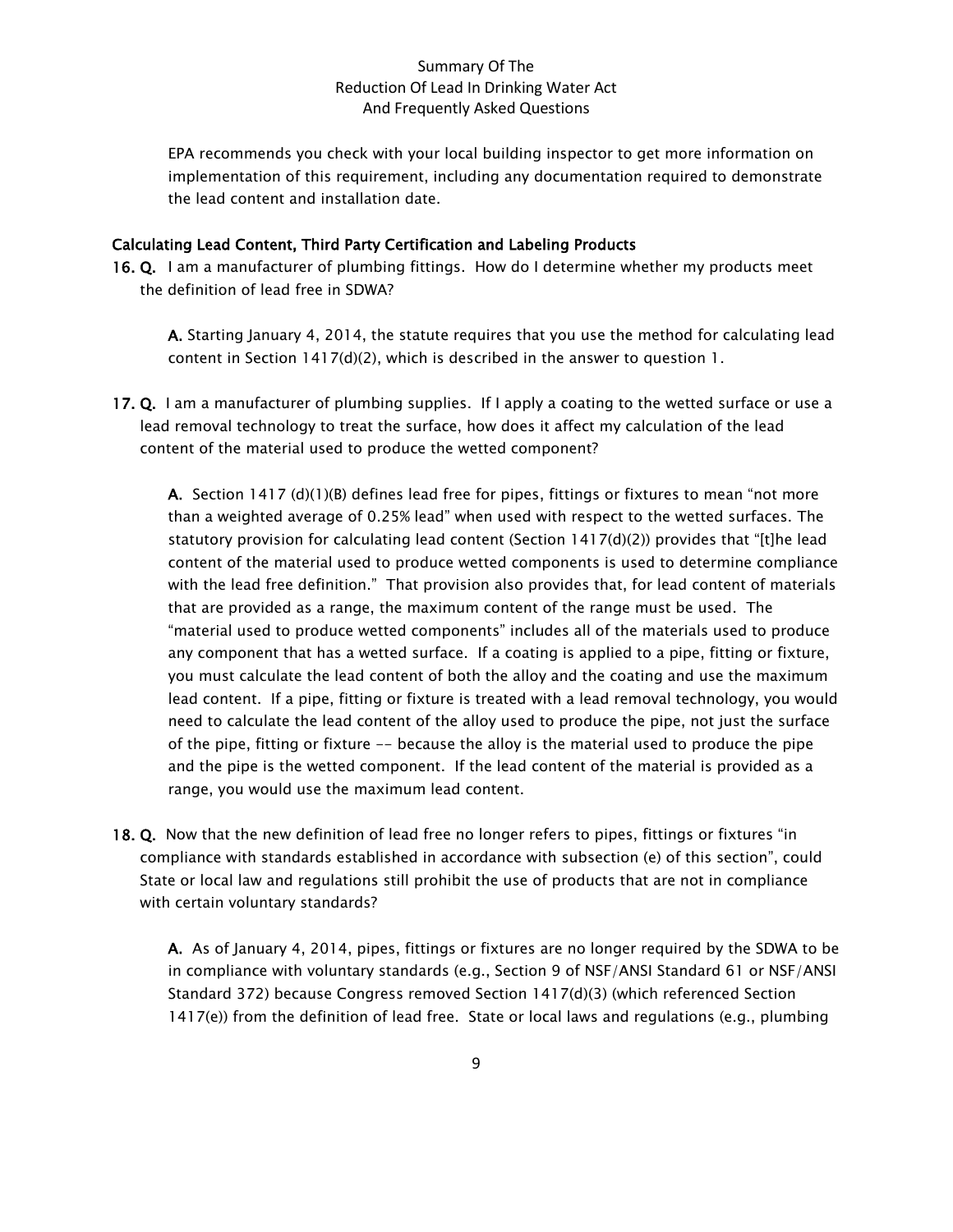EPA recommends you check with your local building inspector to get more information on implementation of this requirement, including any documentation required to demonstrate the lead content and installation date.

#### Calculating Lead Content, Third Party Certification and Labeling Products

16. Q. I am a manufacturer of plumbing fittings. How do I determine whether my products meet the definition of lead free in SDWA?

A. Starting January 4, 2014, the statute requires that you use the method for calculating lead content in Section 1417(d)(2), which is described in the answer to question 1.

17. Q. I am a manufacturer of plumbing supplies. If I apply a coating to the wetted surface or use a lead removal technology to treat the surface, how does it affect my calculation of the lead content of the material used to produce the wetted component?

**A.** Section 1417 (d)(1)(B) defines lead free for pipes, fittings or fixtures to mean "not more than a weighted average of 0.25% lead" when used with respect to the wetted surfaces. The statutory provision for calculating lead content (Section 1417(d)(2)) provides that "[t]he lead content of the material used to produce wetted components is used to determine compliance with the lead free definition." That provision also provides that, for lead content of materials that are provided as a range, the maximum content of the range must be used. The "material used to produce wetted components" includes all of the materials used to produce any component that has a wetted surface. If a coating is applied to a pipe, fitting or fixture, you must calculate the lead content of both the alloy and the coating and use the maximum lead content. If a pipe, fitting or fixture is treated with a lead removal technology, you would need to calculate the lead content of the alloy used to produce the pipe, not just the surface of the pipe, fitting or fixture -- because the alloy is the material used to produce the pipe and the pipe is the wetted component. If the lead content of the material is provided as a range, you would use the maximum lead content.

18. Q. Now that the new definition of lead free no longer refers to pipes, fittings or fixtures "in compliance with standards established in accordance with subsection (e) of this section", could State or local law and regulations still prohibit the use of products that are not in compliance with certain voluntary standards?

A. As of January 4, 2014, pipes, fittings or fixtures are no longer required by the SDWA to be in compliance with voluntary standards (e.g., Section 9 of NSF/ANSI Standard 61 or NSF/ANSI Standard 372) because Congress removed Section 1417(d)(3) (which referenced Section 1417(e)) from the definition of lead free. State or local laws and regulations (e.g., plumbing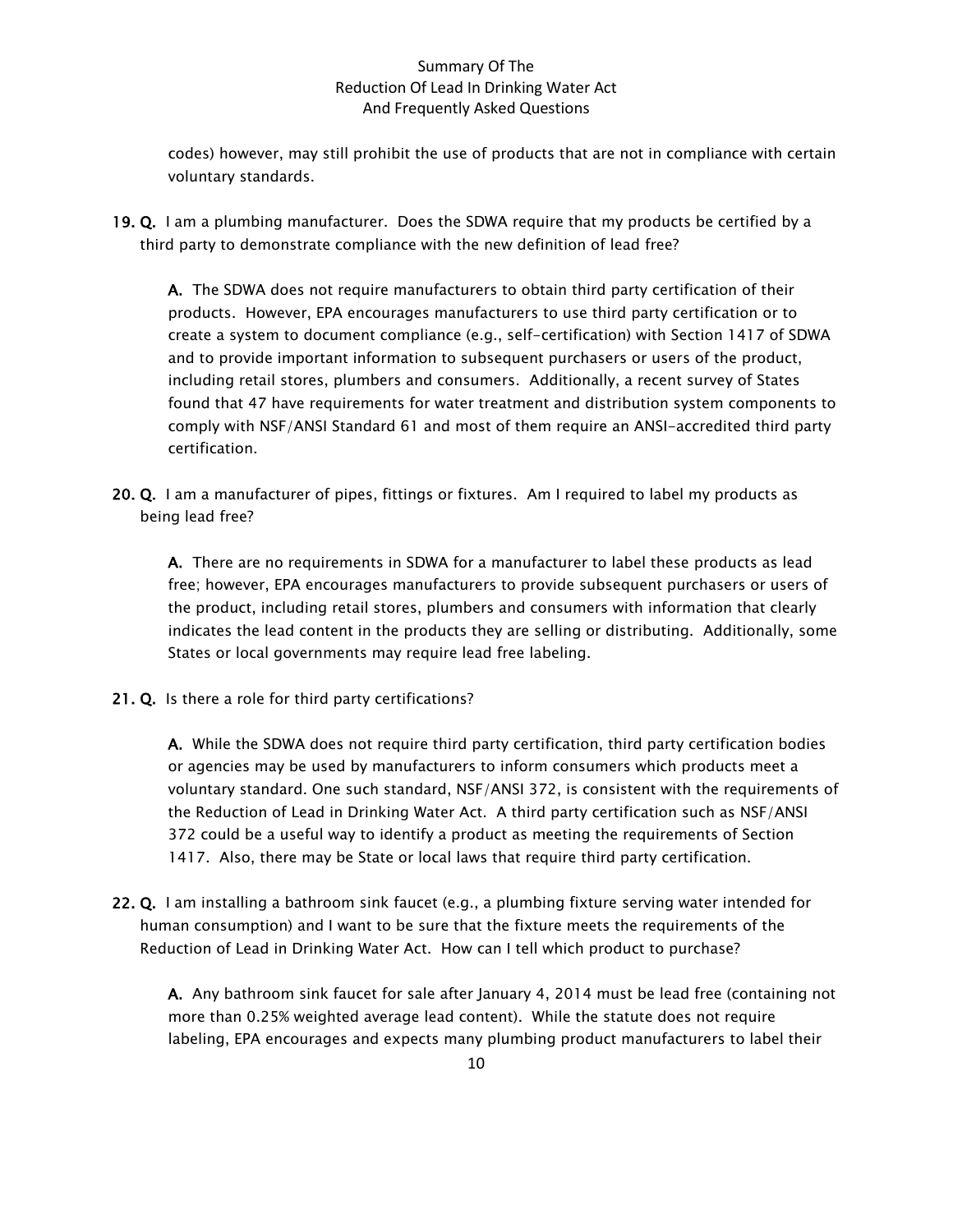codes) however, may still prohibit the use of products that are not in compliance with certain voluntary standards.

19. Q. I am a plumbing manufacturer. Does the SDWA require that my products be certified by a third party to demonstrate compliance with the new definition of lead free?

A. The SDWA does not require manufacturers to obtain third party certification of their products. However, EPA encourages manufacturers to use third party certification or to create a system to document compliance (e.g., self-certification) with Section 1417 of SDWA and to provide important information to subsequent purchasers or users of the product, including retail stores, plumbers and consumers. Additionally, a recent survey of States found that 47 have requirements for water treatment and distribution system components to comply with NSF/ANSI Standard 61 and most of them require an ANSI-accredited third party certification.

20. Q. I am a manufacturer of pipes, fittings or fixtures. Am I required to label my products as being lead free?

A. There are no requirements in SDWA for a manufacturer to label these products as lead free; however, EPA encourages manufacturers to provide subsequent purchasers or users of the product, including retail stores, plumbers and consumers with information that clearly indicates the lead content in the products they are selling or distributing. Additionally, some States or local governments may require lead free labeling.

21. Q. Is there a role for third party certifications?

A. While the SDWA does not require third party certification, third party certification bodies or agencies may be used by manufacturers to inform consumers which products meet a voluntary standard. One such standard, NSF/ANSI 372, is consistent with the requirements of the Reduction of Lead in Drinking Water Act. A third party certification such as NSF/ANSI 372 could be a useful way to identify a product as meeting the requirements of Section 1417. Also, there may be State or local laws that require third party certification.

22. Q. I am installing a bathroom sink faucet (e.g., a plumbing fixture serving water intended for human consumption) and I want to be sure that the fixture meets the requirements of the Reduction of Lead in Drinking Water Act. How can I tell which product to purchase?

A. Any bathroom sink faucet for sale after January 4, 2014 must be lead free (containing not more than 0.25% weighted average lead content). While the statute does not require labeling, EPA encourages and expects many plumbing product manufacturers to label their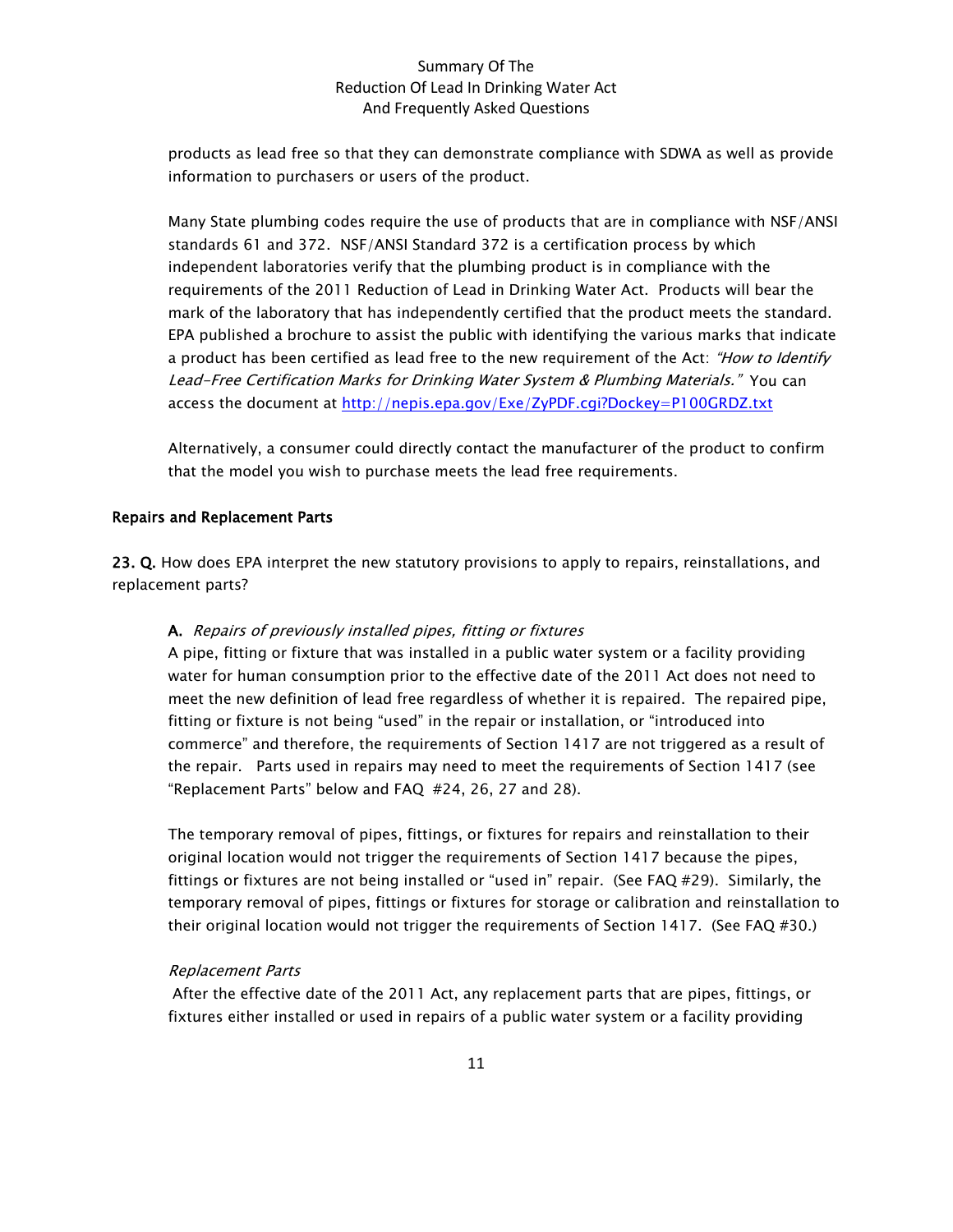products as lead free so that they can demonstrate compliance with SDWA as well as provide information to purchasers or users of the product.

Many State plumbing codes require the use of products that are in compliance with NSF/ANSI standards 61 and 372. NSF/ANSI Standard 372 is a certification process by which independent laboratories verify that the plumbing product is in compliance with the requirements of the 2011 Reduction of Lead in Drinking Water Act. Products will bear the mark of the laboratory that has independently certified that the product meets the standard. EPA published a brochure to assist the public with identifying the various marks that indicate a product has been certified as lead free to the new requirement of the Act: "How to Identify Lead-Free Certification Marks for Drinking Water System & Plumbing Materials." You can access the document at<http://nepis.epa.gov/Exe/ZyPDF.cgi?Dockey=P100GRDZ.txt>

Alternatively, a consumer could directly contact the manufacturer of the product to confirm that the model you wish to purchase meets the lead free requirements.

#### Repairs and Replacement Parts

23. Q. How does EPA interpret the new statutory provisions to apply to repairs, reinstallations, and replacement parts?

#### A. Repairs of previously installed pipes, fitting or fixtures

A pipe, fitting or fixture that was installed in a public water system or a facility providing water for human consumption prior to the effective date of the 2011 Act does not need to meet the new definition of lead free regardless of whether it is repaired. The repaired pipe, fitting or fixture is not being "used" in the repair or installation, or "introduced into commerce" and therefore, the requirements of Section 1417 are not triggered as a result of the repair. Parts used in repairs may need to meet the requirements of Section 1417 (see "Replacement Parts" below and FAQ #24, 26, 27 and 28).

The temporary removal of pipes, fittings, or fixtures for repairs and reinstallation to their original location would not trigger the requirements of Section 1417 because the pipes, fittings or fixtures are not being installed or "used in" repair. (See FAQ #29). Similarly, the temporary removal of pipes, fittings or fixtures for storage or calibration and reinstallation to their original location would not trigger the requirements of Section 1417. (See FAQ #30.)

#### Replacement Parts

After the effective date of the 2011 Act, any replacement parts that are pipes, fittings, or fixtures either installed or used in repairs of a public water system or a facility providing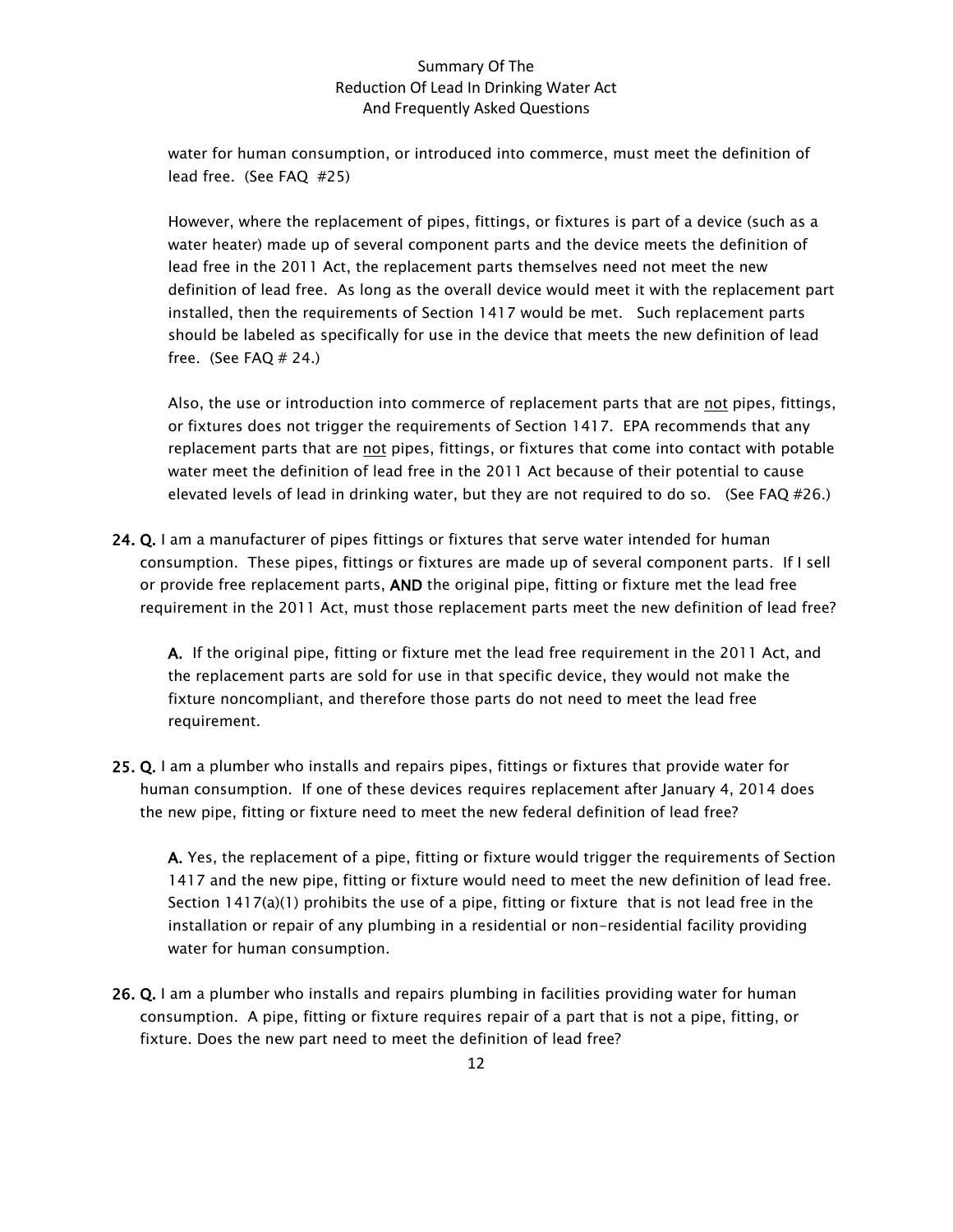water for human consumption, or introduced into commerce, must meet the definition of lead free. (See FAQ #25)

However, where the replacement of pipes, fittings, or fixtures is part of a device (such as a water heater) made up of several component parts and the device meets the definition of lead free in the 2011 Act, the replacement parts themselves need not meet the new definition of lead free. As long as the overall device would meet it with the replacement part installed, then the requirements of Section 1417 would be met. Such replacement parts should be labeled as specifically for use in the device that meets the new definition of lead free. (See FAQ  $# 24$ .)

Also, the use or introduction into commerce of replacement parts that are not pipes, fittings, or fixtures does not trigger the requirements of Section 1417. EPA recommends that any replacement parts that are not pipes, fittings, or fixtures that come into contact with potable water meet the definition of lead free in the 2011 Act because of their potential to cause elevated levels of lead in drinking water, but they are not required to do so. (See FAQ #26.)

24. Q. I am a manufacturer of pipes fittings or fixtures that serve water intended for human consumption. These pipes, fittings or fixtures are made up of several component parts. If I sell or provide free replacement parts, AND the original pipe, fitting or fixture met the lead free requirement in the 2011 Act, must those replacement parts meet the new definition of lead free?

A. If the original pipe, fitting or fixture met the lead free requirement in the 2011 Act, and the replacement parts are sold for use in that specific device, they would not make the fixture noncompliant, and therefore those parts do not need to meet the lead free requirement.

25. Q. I am a plumber who installs and repairs pipes, fittings or fixtures that provide water for human consumption. If one of these devices requires replacement after January 4, 2014 does the new pipe, fitting or fixture need to meet the new federal definition of lead free?

A. Yes, the replacement of a pipe, fitting or fixture would trigger the requirements of Section 1417 and the new pipe, fitting or fixture would need to meet the new definition of lead free. Section 1417(a)(1) prohibits the use of a pipe, fitting or fixture that is not lead free in the installation or repair of any plumbing in a residential or non-residential facility providing water for human consumption.

26. Q. I am a plumber who installs and repairs plumbing in facilities providing water for human consumption. A pipe, fitting or fixture requires repair of a part that is not a pipe, fitting, or fixture. Does the new part need to meet the definition of lead free?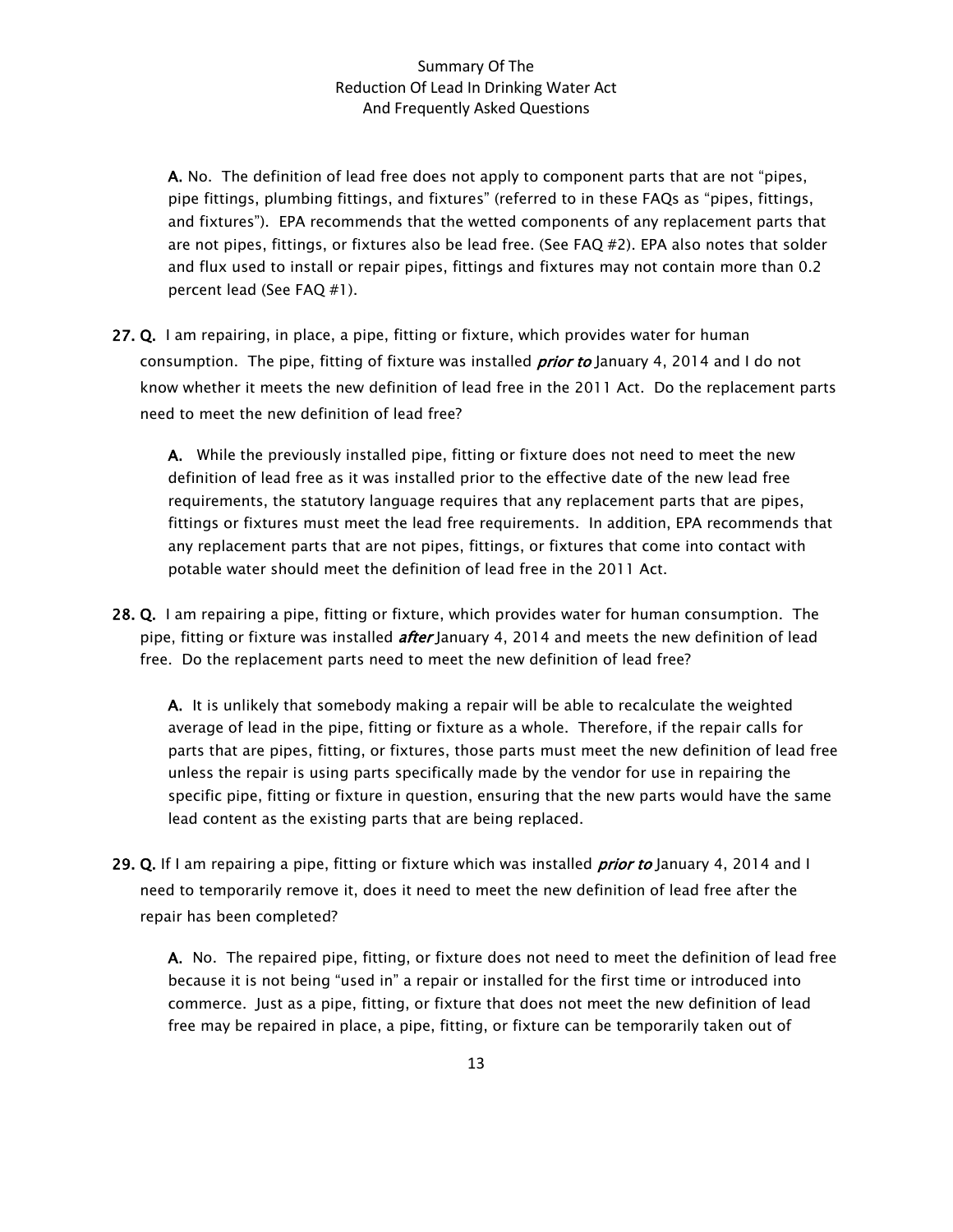A. No. The definition of lead free does not apply to component parts that are not "pipes, pipe fittings, plumbing fittings, and fixtures" (referred to in these FAQs as "pipes, fittings, and fixtures"). EPA recommends that the wetted components of any replacement parts that are not pipes, fittings, or fixtures also be lead free. (See FAQ #2). EPA also notes that solder and flux used to install or repair pipes, fittings and fixtures may not contain more than 0.2 percent lead (See FAQ #1).

27. Q. I am repairing, in place, a pipe, fitting or fixture, which provides water for human consumption. The pipe, fitting of fixture was installed *prior to* January 4, 2014 and I do not know whether it meets the new definition of lead free in the 2011 Act. Do the replacement parts need to meet the new definition of lead free?

A. While the previously installed pipe, fitting or fixture does not need to meet the new definition of lead free as it was installed prior to the effective date of the new lead free requirements, the statutory language requires that any replacement parts that are pipes, fittings or fixtures must meet the lead free requirements. In addition, EPA recommends that any replacement parts that are not pipes, fittings, or fixtures that come into contact with potable water should meet the definition of lead free in the 2011 Act.

28. Q. I am repairing a pipe, fitting or fixture, which provides water for human consumption. The pipe, fitting or fixture was installed *after* January 4, 2014 and meets the new definition of lead free. Do the replacement parts need to meet the new definition of lead free?

A. It is unlikely that somebody making a repair will be able to recalculate the weighted average of lead in the pipe, fitting or fixture as a whole. Therefore, if the repair calls for parts that are pipes, fitting, or fixtures, those parts must meet the new definition of lead free unless the repair is using parts specifically made by the vendor for use in repairing the specific pipe, fitting or fixture in question, ensuring that the new parts would have the same lead content as the existing parts that are being replaced.

29. Q. If I am repairing a pipe, fitting or fixture which was installed *prior to* January 4, 2014 and I need to temporarily remove it, does it need to meet the new definition of lead free after the repair has been completed?

A. No. The repaired pipe, fitting, or fixture does not need to meet the definition of lead free because it is not being "used in" a repair or installed for the first time or introduced into commerce. Just as a pipe, fitting, or fixture that does not meet the new definition of lead free may be repaired in place, a pipe, fitting, or fixture can be temporarily taken out of